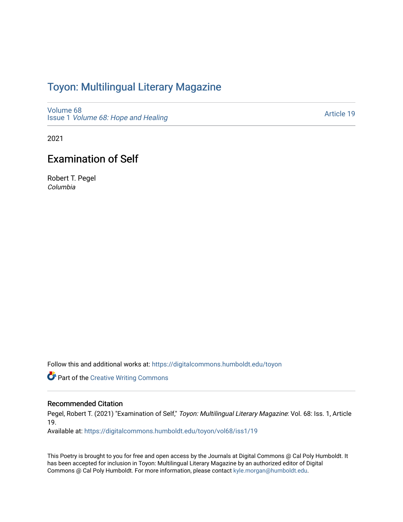## Toyon: Multilingual Literar[y](https://digitalcommons.humboldt.edu/toyon) Magazine

[Volume 68](https://digitalcommons.humboldt.edu/toyon/vol68) Issue 1 [Volume 68: Hope and Healing](https://digitalcommons.humboldt.edu/toyon/vol68/iss1) 

[Article 19](https://digitalcommons.humboldt.edu/toyon/vol68/iss1/19) 

2021

## Examination of Self

Robert T. Pegel Columbia

Follow this and additional works at: [https://digitalcommons.humboldt.edu/toyon](https://digitalcommons.humboldt.edu/toyon?utm_source=digitalcommons.humboldt.edu%2Ftoyon%2Fvol68%2Fiss1%2F19&utm_medium=PDF&utm_campaign=PDFCoverPages)

**Part of the Creative Writing Commons** 

## Recommended Citation

Pegel, Robert T. (2021) "Examination of Self," Toyon: Multilingual Literary Magazine: Vol. 68: Iss. 1, Article 19.

Available at: [https://digitalcommons.humboldt.edu/toyon/vol68/iss1/19](https://digitalcommons.humboldt.edu/toyon/vol68/iss1/19?utm_source=digitalcommons.humboldt.edu%2Ftoyon%2Fvol68%2Fiss1%2F19&utm_medium=PDF&utm_campaign=PDFCoverPages) 

This Poetry is brought to you for free and open access by the Journals at Digital Commons @ Cal Poly Humboldt. It has been accepted for inclusion in Toyon: Multilingual Literary Magazine by an authorized editor of Digital Commons @ Cal Poly Humboldt. For more information, please contact [kyle.morgan@humboldt.edu](mailto:kyle.morgan@humboldt.edu).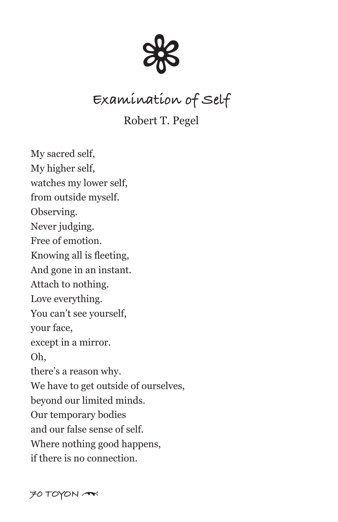

## **Examination of Self**

Robert T. Pegel

My sacred self, My higher self, watches my lower self, from outside myself. Observing. Never judging. Free of emotion. Knowing all is fleeting, And gone in an instant. Attach to nothing. Love everything. You can't see yourself, your face, except in a mirror. Oh, there's a reason why. We have to get outside of ourselves, beyond our limited minds. Our temporary bodies and our false sense of self. Where nothing good happens, if there is no connection.